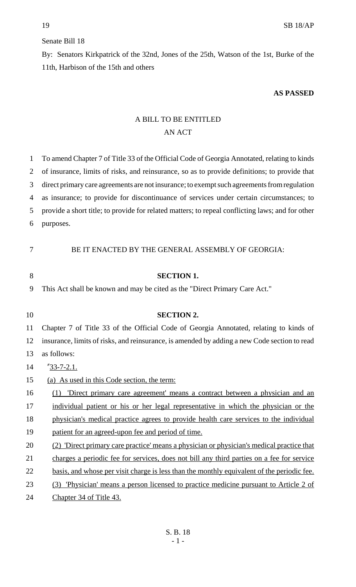## Senate Bill 18

By: Senators Kirkpatrick of the 32nd, Jones of the 25th, Watson of the 1st, Burke of the 11th, Harbison of the 15th and others

## **AS PASSED**

## A BILL TO BE ENTITLED AN ACT

| 1  | To amend Chapter 7 of Title 33 of the Official Code of Georgia Annotated, relating to kinds       |
|----|---------------------------------------------------------------------------------------------------|
| 2  | of insurance, limits of risks, and reinsurance, so as to provide definitions; to provide that     |
| 3  | direct primary care agreements are not insurance; to exempt such agreements from regulation       |
| 4  | as insurance; to provide for discontinuance of services under certain circumstances; to           |
| 5  | provide a short title; to provide for related matters; to repeal conflicting laws; and for other  |
| 6  | purposes.                                                                                         |
|    |                                                                                                   |
| 7  | BE IT ENACTED BY THE GENERAL ASSEMBLY OF GEORGIA:                                                 |
|    |                                                                                                   |
| 8  | <b>SECTION 1.</b>                                                                                 |
| 9  | This Act shall be known and may be cited as the "Direct Primary Care Act."                        |
|    |                                                                                                   |
| 10 | <b>SECTION 2.</b>                                                                                 |
| 11 | Chapter 7 of Title 33 of the Official Code of Georgia Annotated, relating to kinds of             |
| 12 | insurance, limits of risks, and reinsurance, is amended by adding a new Code section to read      |
| 13 | as follows:                                                                                       |
| 14 | $^{\prime\prime}$ 33-7-2.1.                                                                       |
| 15 | (a) As used in this Code section, the term:                                                       |
| 16 | 'Direct primary care agreement' means a contract between a physician and an<br>(1)                |
| 17 | individual patient or his or her legal representative in which the physician or the               |
| 18 | physician's medical practice agrees to provide health care services to the individual             |
| 19 | patient for an agreed-upon fee and period of time.                                                |
| 20 | (2) 'Direct primary care practice' means a physician or physician's medical practice that         |
| 21 | charges a periodic fee for services, does not bill any third parties on a fee for service         |
| 22 | <u>basis, and whose per visit charge is less than the monthly equivalent of the periodic fee.</u> |
| 23 | 'Physician' means a person licensed to practice medicine pursuant to Article 2 of<br>(3)          |
| 24 | Chapter 34 of Title 43.                                                                           |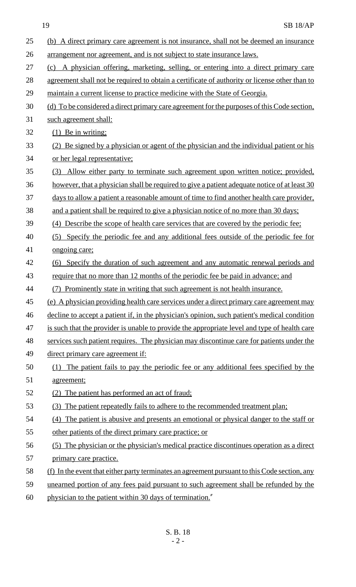19 SB 18/AP

| 25 | (b) A direct primary care agreement is not insurance, shall not be deemed an insurance        |
|----|-----------------------------------------------------------------------------------------------|
| 26 | arrangement nor agreement, and is not subject to state insurance laws.                        |
| 27 | (c) A physician offering, marketing, selling, or entering into a direct primary care          |
| 28 | agreement shall not be required to obtain a certificate of authority or license other than to |
| 29 | maintain a current license to practice medicine with the State of Georgia.                    |
| 30 | (d) To be considered a direct primary care agreement for the purposes of this Code section,   |
| 31 | such agreement shall:                                                                         |
| 32 | $(1)$ Be in writing;                                                                          |
| 33 | (2) Be signed by a physician or agent of the physician and the individual patient or his      |
| 34 | or her legal representative;                                                                  |
| 35 | (3) Allow either party to terminate such agreement upon written notice; provided,             |
| 36 | however, that a physician shall be required to give a patient adequate notice of at least 30  |
| 37 | days to allow a patient a reasonable amount of time to find another health care provider,     |
| 38 | and a patient shall be required to give a physician notice of no more than 30 days;           |
| 39 | (4) Describe the scope of health care services that are covered by the periodic fee;          |
| 40 | (5) Specify the periodic fee and any additional fees outside of the periodic fee for          |
| 41 | ongoing care;                                                                                 |
| 42 | (6) Specify the duration of such agreement and any automatic renewal periods and              |
| 43 | require that no more than 12 months of the periodic fee be paid in advance; and               |
| 44 | (7) Prominently state in writing that such agreement is not health insurance.                 |
| 45 | (e) A physician providing health care services under a direct primary care agreement may      |
| 46 | decline to accept a patient if, in the physician's opinion, such patient's medical condition  |
| 47 | is such that the provider is unable to provide the appropriate level and type of health care  |
| 48 | services such patient requires. The physician may discontinue care for patients under the     |
| 49 | direct primary care agreement if:                                                             |
| 50 | The patient fails to pay the periodic fee or any additional fees specified by the<br>(1)      |
| 51 | agreement;                                                                                    |
| 52 | (2) The patient has performed an act of fraud;                                                |
| 53 | (3) The patient repeatedly fails to adhere to the recommended treatment plan;                 |
| 54 | (4) The patient is abusive and presents an emotional or physical danger to the staff or       |
| 55 | other patients of the direct primary care practice; or                                        |
| 56 | (5) The physician or the physician's medical practice discontinues operation as a direct      |
| 57 | primary care practice.                                                                        |
| 58 | (f) In the event that either party terminates an agreement pursuant to this Code section, any |
| 59 | unearned portion of any fees paid pursuant to such agreement shall be refunded by the         |
| 60 | physician to the patient within 30 days of termination."                                      |